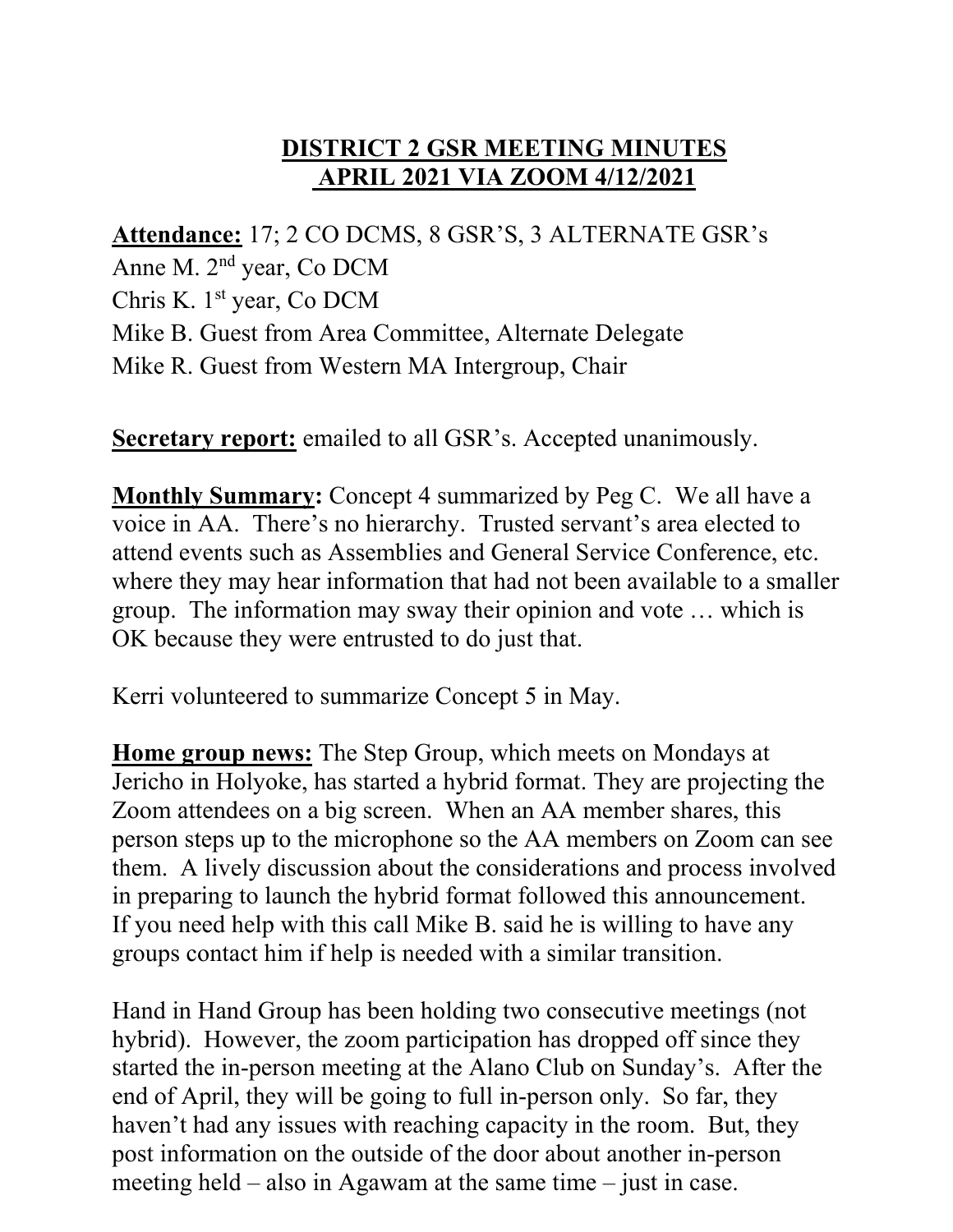## **DISTRICT 2 GSR MEETING MINUTES APRIL 2021 VIA ZOOM 4/12/2021**

**Attendance:** 17; 2 CO DCMS, 8 GSR'S, 3 ALTERNATE GSR's Anne M. 2nd year, Co DCM Chris K. 1st year, Co DCM Mike B. Guest from Area Committee, Alternate Delegate Mike R. Guest from Western MA Intergroup, Chair

**Secretary report:** emailed to all GSR's. Accepted unanimously.

**Monthly Summary:** Concept 4 summarized by Peg C. We all have a voice in AA. There's no hierarchy. Trusted servant's area elected to attend events such as Assemblies and General Service Conference, etc. where they may hear information that had not been available to a smaller group. The information may sway their opinion and vote … which is OK because they were entrusted to do just that.

Kerri volunteered to summarize Concept 5 in May.

**Home group news:** The Step Group, which meets on Mondays at Jericho in Holyoke, has started a hybrid format. They are projecting the Zoom attendees on a big screen. When an AA member shares, this person steps up to the microphone so the AA members on Zoom can see them. A lively discussion about the considerations and process involved in preparing to launch the hybrid format followed this announcement. If you need help with this call Mike B. said he is willing to have any groups contact him if help is needed with a similar transition.

Hand in Hand Group has been holding two consecutive meetings (not hybrid). However, the zoom participation has dropped off since they started the in-person meeting at the Alano Club on Sunday's. After the end of April, they will be going to full in-person only. So far, they haven't had any issues with reaching capacity in the room. But, they post information on the outside of the door about another in-person meeting held – also in Agawam at the same time – just in case.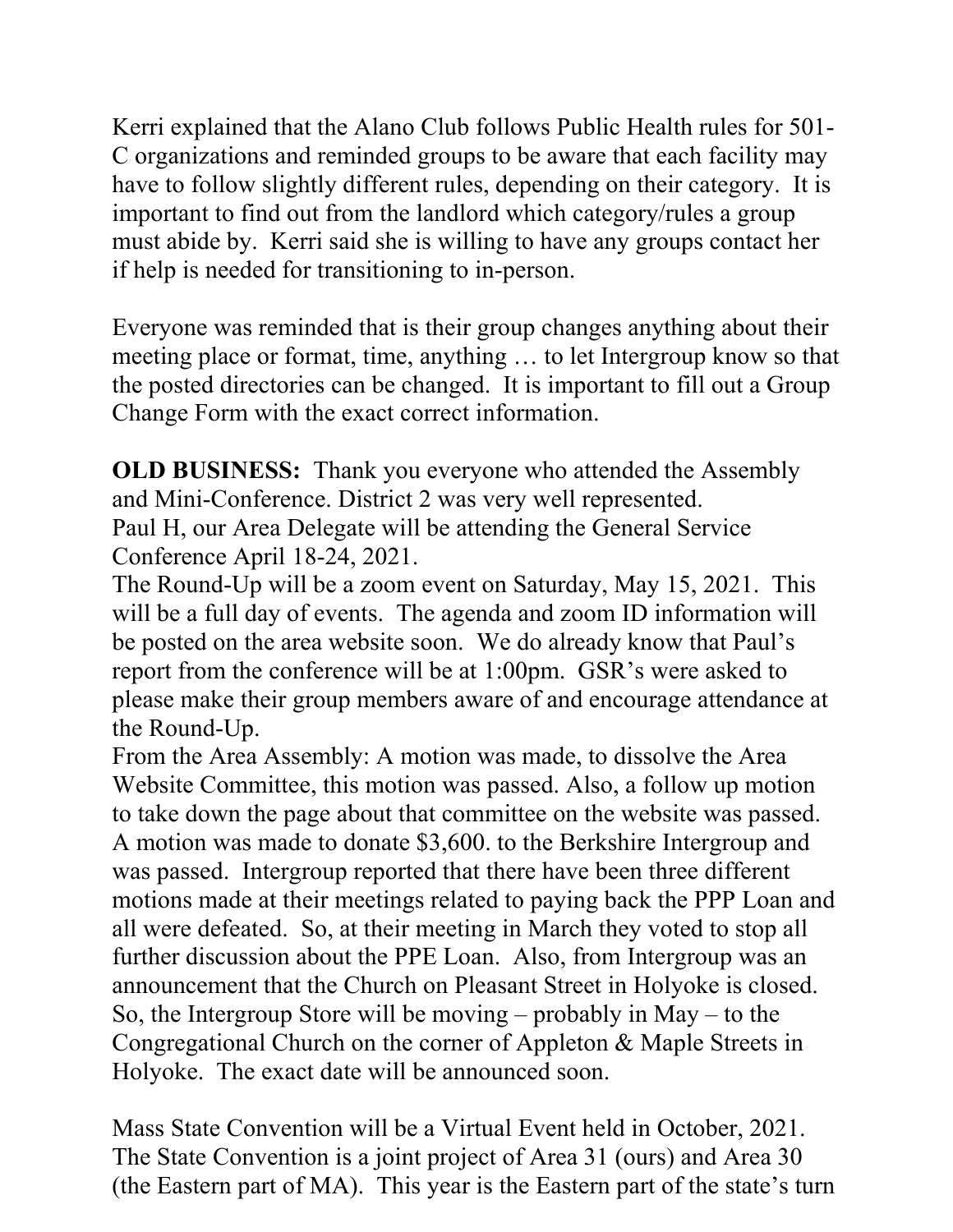Kerri explained that the Alano Club follows Public Health rules for 501- C organizations and reminded groups to be aware that each facility may have to follow slightly different rules, depending on their category. It is important to find out from the landlord which category/rules a group must abide by. Kerri said she is willing to have any groups contact her if help is needed for transitioning to in-person.

Everyone was reminded that is their group changes anything about their meeting place or format, time, anything … to let Intergroup know so that the posted directories can be changed. It is important to fill out a Group Change Form with the exact correct information.

**OLD BUSINESS:** Thank you everyone who attended the Assembly and Mini-Conference. District 2 was very well represented. Paul H, our Area Delegate will be attending the General Service Conference April 18-24, 2021.

The Round-Up will be a zoom event on Saturday, May 15, 2021. This will be a full day of events. The agenda and zoom ID information will be posted on the area website soon. We do already know that Paul's report from the conference will be at 1:00pm. GSR's were asked to please make their group members aware of and encourage attendance at the Round-Up.

From the Area Assembly: A motion was made, to dissolve the Area Website Committee, this motion was passed. Also, a follow up motion to take down the page about that committee on the website was passed. A motion was made to donate \$3,600. to the Berkshire Intergroup and was passed. Intergroup reported that there have been three different motions made at their meetings related to paying back the PPP Loan and all were defeated. So, at their meeting in March they voted to stop all further discussion about the PPE Loan. Also, from Intergroup was an announcement that the Church on Pleasant Street in Holyoke is closed. So, the Intergroup Store will be moving – probably in May – to the Congregational Church on the corner of Appleton & Maple Streets in Holyoke. The exact date will be announced soon.

Mass State Convention will be a Virtual Event held in October, 2021. The State Convention is a joint project of Area 31 (ours) and Area 30 (the Eastern part of MA). This year is the Eastern part of the state's turn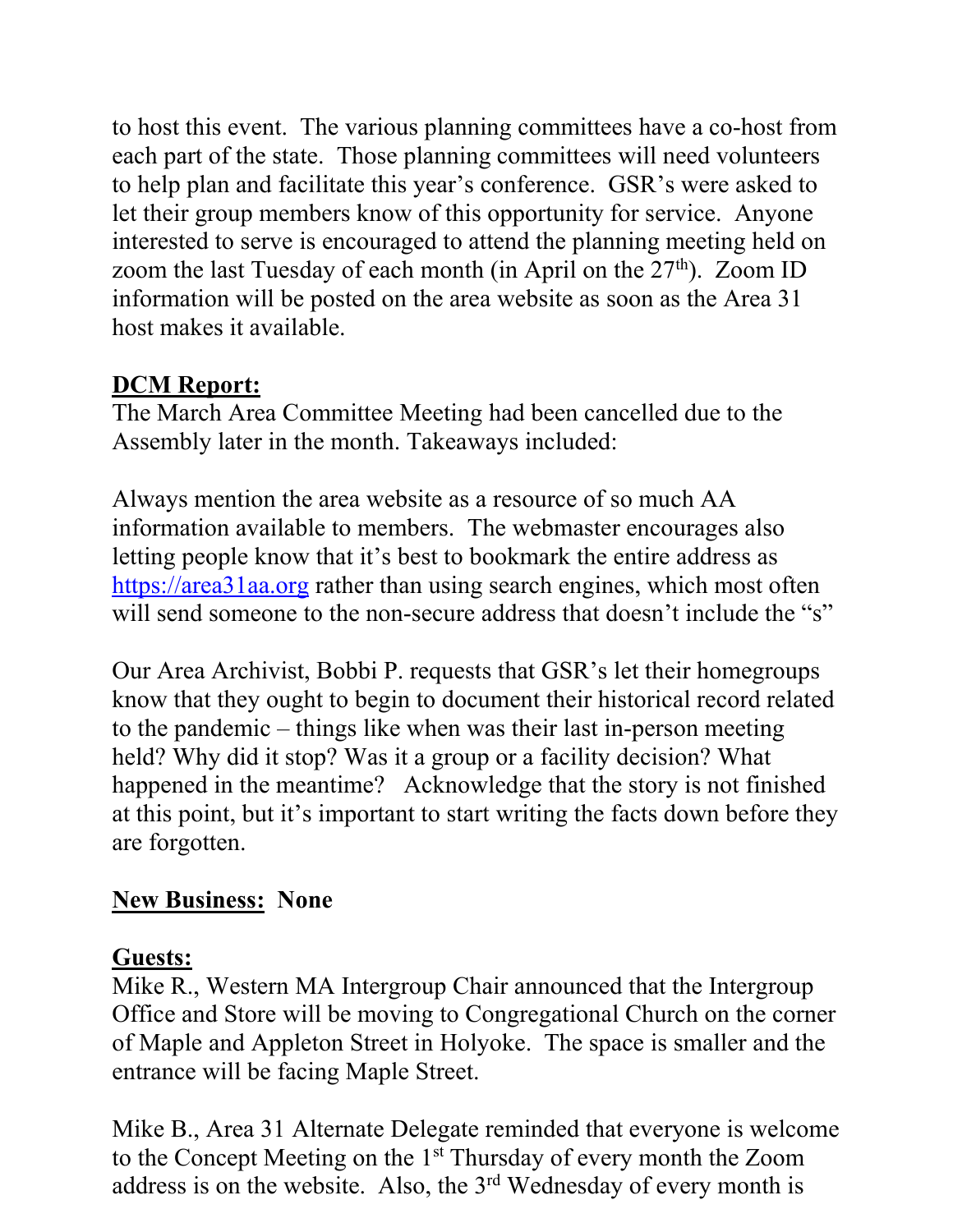to host this event. The various planning committees have a co-host from each part of the state. Those planning committees will need volunteers to help plan and facilitate this year's conference. GSR's were asked to let their group members know of this opportunity for service. Anyone interested to serve is encouraged to attend the planning meeting held on zoom the last Tuesday of each month (in April on the  $27<sup>th</sup>$ ). Zoom ID information will be posted on the area website as soon as the Area 31 host makes it available.

## **DCM Report:**

The March Area Committee Meeting had been cancelled due to the Assembly later in the month. Takeaways included:

Always mention the area website as a resource of so much AA information available to members. The webmaster encourages also letting people know that it's best to bookmark the entire address as [https://area31aa.org](https://area31aa.org/) rather than using search engines, which most often will send someone to the non-secure address that doesn't include the "s"

Our Area Archivist, Bobbi P. requests that GSR's let their homegroups know that they ought to begin to document their historical record related to the pandemic – things like when was their last in-person meeting held? Why did it stop? Was it a group or a facility decision? What happened in the meantime? Acknowledge that the story is not finished at this point, but it's important to start writing the facts down before they are forgotten.

## **New Business: None**

## **Guests:**

Mike R., Western MA Intergroup Chair announced that the Intergroup Office and Store will be moving to Congregational Church on the corner of Maple and Appleton Street in Holyoke. The space is smaller and the entrance will be facing Maple Street.

Mike B., Area 31 Alternate Delegate reminded that everyone is welcome to the Concept Meeting on the 1st Thursday of every month the Zoom address is on the website. Also, the 3<sup>rd</sup> Wednesday of every month is